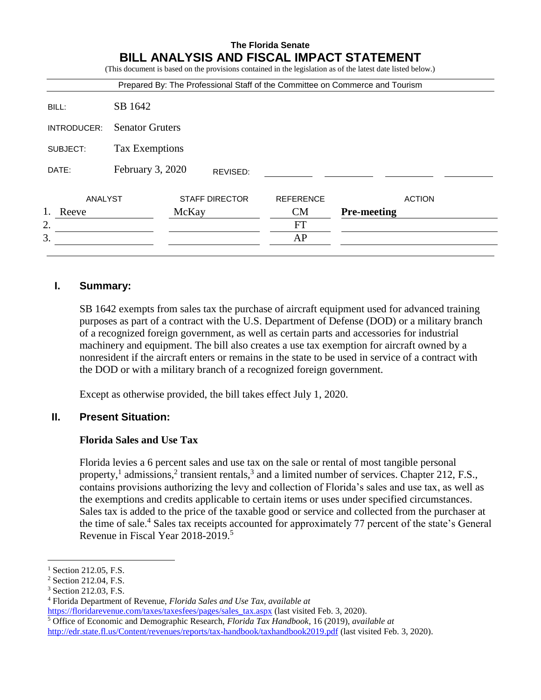|             |                              |       |                       |                  | Prepared By: The Professional Staff of the Committee on Commerce and Tourism |
|-------------|------------------------------|-------|-----------------------|------------------|------------------------------------------------------------------------------|
| BILL:       | SB 1642                      |       |                       |                  |                                                                              |
| INTRODUCER: | <b>Senator Gruters</b>       |       |                       |                  |                                                                              |
| SUBJECT:    | Tax Exemptions               |       |                       |                  |                                                                              |
| DATE:       | February 3, 2020<br>REVISED: |       |                       |                  |                                                                              |
| ANALYST     |                              |       | <b>STAFF DIRECTOR</b> | <b>REFERENCE</b> | <b>ACTION</b>                                                                |
| Reeve       |                              | McKay |                       | CM               | <b>Pre-meeting</b>                                                           |
| 2.          |                              |       |                       | <b>FT</b>        |                                                                              |
| 3.          |                              |       |                       | AP               |                                                                              |

# **I. Summary:**

SB 1642 exempts from sales tax the purchase of aircraft equipment used for advanced training purposes as part of a contract with the U.S. Department of Defense (DOD) or a military branch of a recognized foreign government, as well as certain parts and accessories for industrial machinery and equipment. The bill also creates a use tax exemption for aircraft owned by a nonresident if the aircraft enters or remains in the state to be used in service of a contract with the DOD or with a military branch of a recognized foreign government.

Except as otherwise provided, the bill takes effect July 1, 2020.

## **II. Present Situation:**

## **Florida Sales and Use Tax**

Florida levies a 6 percent sales and use tax on the sale or rental of most tangible personal property,<sup>1</sup> admissions,<sup>2</sup> transient rentals,<sup>3</sup> and a limited number of services. Chapter 212, F.S., contains provisions authorizing the levy and collection of Florida's sales and use tax, as well as the exemptions and credits applicable to certain items or uses under specified circumstances. Sales tax is added to the price of the taxable good or service and collected from the purchaser at the time of sale.<sup>4</sup> Sales tax receipts accounted for approximately 77 percent of the state's General Revenue in Fiscal Year 2018-2019.<sup>5</sup>

 $\overline{a}$ <sup>1</sup> Section 212.05, F.S.

<sup>&</sup>lt;sup>2</sup> Section 212.04, F.S.

<sup>3</sup> Section 212.03, F.S.

<sup>4</sup> Florida Department of Revenue, *Florida Sales and Use Tax, available at* 

[https://floridarevenue.com/taxes/taxesfees/pages/sales\\_tax.aspx](https://floridarevenue.com/taxes/taxesfees/pages/sales_tax.aspx) (last visited Feb. 3, 2020).

<sup>5</sup> Office of Economic and Demographic Research, *Florida Tax Handbook*, 16 (2019), *available at*  <http://edr.state.fl.us/Content/revenues/reports/tax-handbook/taxhandbook2019.pdf> (last visited Feb. 3, 2020).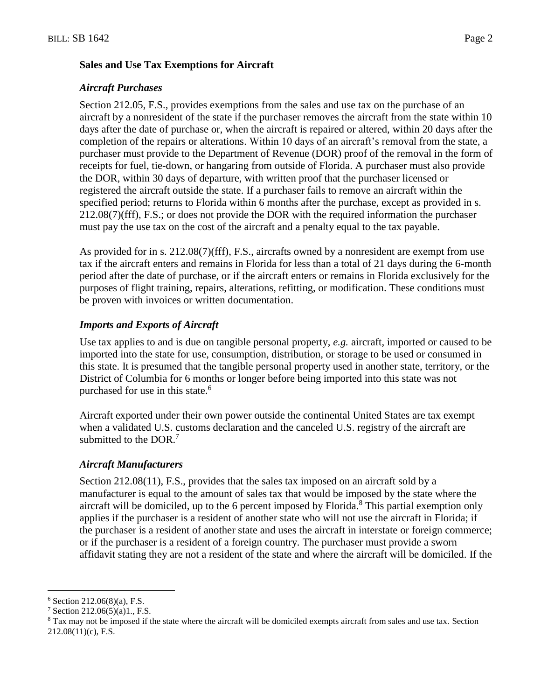#### **Sales and Use Tax Exemptions for Aircraft**

#### *Aircraft Purchases*

Section 212.05, F.S., provides exemptions from the sales and use tax on the purchase of an aircraft by a nonresident of the state if the purchaser removes the aircraft from the state within 10 days after the date of purchase or, when the aircraft is repaired or altered, within 20 days after the completion of the repairs or alterations. Within 10 days of an aircraft's removal from the state, a purchaser must provide to the Department of Revenue (DOR) proof of the removal in the form of receipts for fuel, tie-down, or hangaring from outside of Florida. A purchaser must also provide the DOR, within 30 days of departure, with written proof that the purchaser licensed or registered the aircraft outside the state. If a purchaser fails to remove an aircraft within the specified period; returns to Florida within 6 months after the purchase, except as provided in s. 212.08(7)(fff), F.S.; or does not provide the DOR with the required information the purchaser must pay the use tax on the cost of the aircraft and a penalty equal to the tax payable.

As provided for in s. 212.08(7)(fff), F.S., aircrafts owned by a nonresident are exempt from use tax if the aircraft enters and remains in Florida for less than a total of 21 days during the 6-month period after the date of purchase, or if the aircraft enters or remains in Florida exclusively for the purposes of flight training, repairs, alterations, refitting, or modification. These conditions must be proven with invoices or written documentation.

## *Imports and Exports of Aircraft*

Use tax applies to and is due on tangible personal property, *e.g.* aircraft, imported or caused to be imported into the state for use, consumption, distribution, or storage to be used or consumed in this state. It is presumed that the tangible personal property used in another state, territory, or the District of Columbia for 6 months or longer before being imported into this state was not purchased for use in this state.<sup>6</sup>

Aircraft exported under their own power outside the continental United States are tax exempt when a validated U.S. customs declaration and the canceled U.S. registry of the aircraft are submitted to the DOR $<sup>7</sup>$ </sup>

#### *Aircraft Manufacturers*

Section 212.08(11), F.S., provides that the sales tax imposed on an aircraft sold by a manufacturer is equal to the amount of sales tax that would be imposed by the state where the aircraft will be domiciled, up to the 6 percent imposed by Florida.<sup>8</sup> This partial exemption only applies if the purchaser is a resident of another state who will not use the aircraft in Florida; if the purchaser is a resident of another state and uses the aircraft in interstate or foreign commerce; or if the purchaser is a resident of a foreign country. The purchaser must provide a sworn affidavit stating they are not a resident of the state and where the aircraft will be domiciled. If the

 $\overline{a}$ 

 $6$  Section 212.06(8)(a), F.S.

<sup>7</sup> Section 212.06(5)(a)1., F.S.

<sup>8</sup> Tax may not be imposed if the state where the aircraft will be domiciled exempts aircraft from sales and use tax. Section 212.08(11)(c), F.S.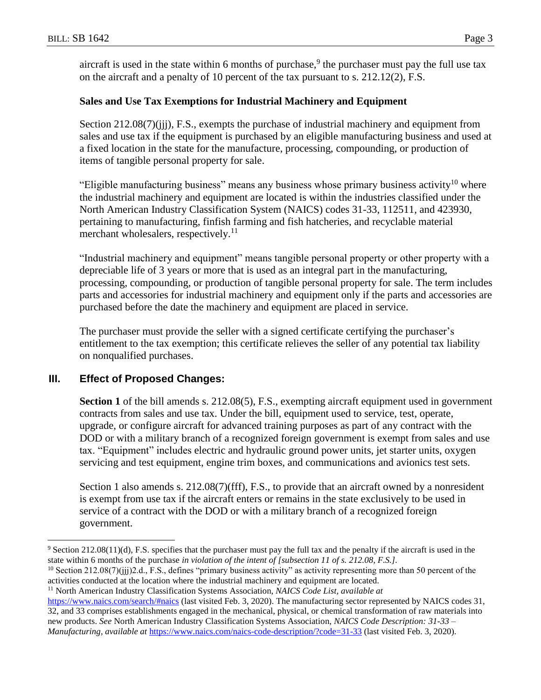aircraft is used in the state within 6 months of purchase,<sup>9</sup> the purchaser must pay the full use tax on the aircraft and a penalty of 10 percent of the tax pursuant to s. 212.12(2), F.S.

## **Sales and Use Tax Exemptions for Industrial Machinery and Equipment**

Section 212.08(7)(jij), F.S., exempts the purchase of industrial machinery and equipment from sales and use tax if the equipment is purchased by an eligible manufacturing business and used at a fixed location in the state for the manufacture, processing, compounding, or production of items of tangible personal property for sale.

"Eligible manufacturing business" means any business whose primary business activity<sup>10</sup> where the industrial machinery and equipment are located is within the industries classified under the North American Industry Classification System (NAICS) codes 31-33, 112511, and 423930, pertaining to manufacturing, finfish farming and fish hatcheries, and recyclable material merchant wholesalers, respectively.<sup>11</sup>

"Industrial machinery and equipment" means tangible personal property or other property with a depreciable life of 3 years or more that is used as an integral part in the manufacturing, processing, compounding, or production of tangible personal property for sale. The term includes parts and accessories for industrial machinery and equipment only if the parts and accessories are purchased before the date the machinery and equipment are placed in service.

The purchaser must provide the seller with a signed certificate certifying the purchaser's entitlement to the tax exemption; this certificate relieves the seller of any potential tax liability on nonqualified purchases.

## **III. Effect of Proposed Changes:**

 $\overline{a}$ 

**Section 1** of the bill amends s. 212.08(5), F.S., exempting aircraft equipment used in government contracts from sales and use tax. Under the bill, equipment used to service, test, operate, upgrade, or configure aircraft for advanced training purposes as part of any contract with the DOD or with a military branch of a recognized foreign government is exempt from sales and use tax. "Equipment" includes electric and hydraulic ground power units, jet starter units, oxygen servicing and test equipment, engine trim boxes, and communications and avionics test sets.

Section 1 also amends s. 212.08(7)(fff), F.S., to provide that an aircraft owned by a nonresident is exempt from use tax if the aircraft enters or remains in the state exclusively to be used in service of a contract with the DOD or with a military branch of a recognized foreign government.

<sup>9</sup> Section 212.08(11)(d), F.S. specifies that the purchaser must pay the full tax and the penalty if the aircraft is used in the state within 6 months of the purchase *in violation of the intent of [subsection 11 of s. 212.08, F.S.].* 

 $10$  Section 212.08(7)(jjj)2.d., F.S., defines "primary business activity" as activity representing more than 50 percent of the activities conducted at the location where the industrial machinery and equipment are located.

<sup>11</sup> North American Industry Classification Systems Association, *NAICS Code List, available at* 

<https://www.naics.com/search/#naics> (last visited Feb. 3, 2020). The manufacturing sector represented by NAICS codes 31, 32, and 33 comprises establishments engaged in the mechanical, physical, or chemical transformation of raw materials into new products. *See* North American Industry Classification Systems Association, *NAICS Code Description: 31-33 – Manufacturing, available at <https://www.naics.com/naics-code-description/?code=31-33> (last visited Feb. 3, 2020).*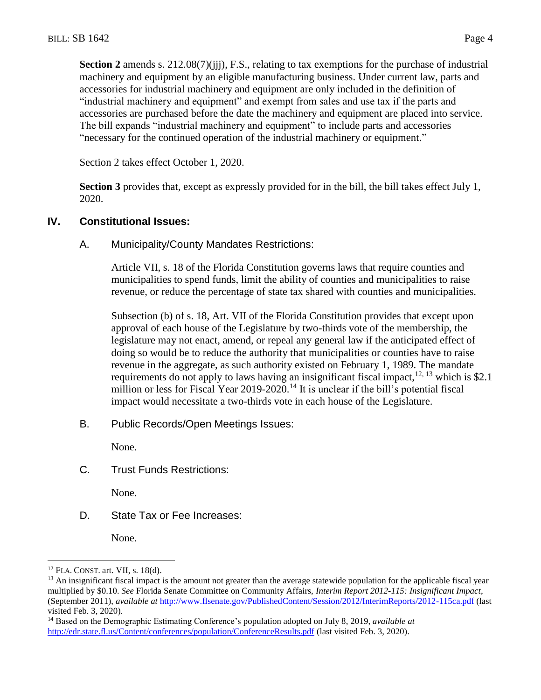**Section 2** amends s. 212.08(7)(jjj), F.S., relating to tax exemptions for the purchase of industrial machinery and equipment by an eligible manufacturing business. Under current law, parts and accessories for industrial machinery and equipment are only included in the definition of "industrial machinery and equipment" and exempt from sales and use tax if the parts and accessories are purchased before the date the machinery and equipment are placed into service. The bill expands "industrial machinery and equipment" to include parts and accessories "necessary for the continued operation of the industrial machinery or equipment."

Section 2 takes effect October 1, 2020.

**Section 3** provides that, except as expressly provided for in the bill, the bill takes effect July 1, 2020.

## **IV. Constitutional Issues:**

A. Municipality/County Mandates Restrictions:

Article VII, s. 18 of the Florida Constitution governs laws that require counties and municipalities to spend funds, limit the ability of counties and municipalities to raise revenue, or reduce the percentage of state tax shared with counties and municipalities.

Subsection (b) of s. 18, Art. VII of the Florida Constitution provides that except upon approval of each house of the Legislature by two-thirds vote of the membership, the legislature may not enact, amend, or repeal any general law if the anticipated effect of doing so would be to reduce the authority that municipalities or counties have to raise revenue in the aggregate, as such authority existed on February 1, 1989. The mandate requirements do not apply to laws having an insignificant fiscal impact,  $12, 13$  which is \$2.1 million or less for Fiscal Year 2019-2020.<sup>14</sup> It is unclear if the bill's potential fiscal impact would necessitate a two-thirds vote in each house of the Legislature.

B. Public Records/Open Meetings Issues:

None.

C. Trust Funds Restrictions:

None.

D. State Tax or Fee Increases:

None.

 $\overline{a}$ 

<sup>12</sup> FLA. CONST. art. VII, s. 18(d).

<sup>&</sup>lt;sup>13</sup> An insignificant fiscal impact is the amount not greater than the average statewide population for the applicable fiscal year multiplied by \$0.10. *See* Florida Senate Committee on Community Affairs, *Interim Report 2012-115: Insignificant Impact*, (September 2011), *available at* <http://www.flsenate.gov/PublishedContent/Session/2012/InterimReports/2012-115ca.pdf> (last visited Feb. 3, 2020).

<sup>14</sup> Based on the Demographic Estimating Conference's population adopted on July 8, 2019, *available at* <http://edr.state.fl.us/Content/conferences/population/ConferenceResults.pdf> (last visited Feb. 3, 2020).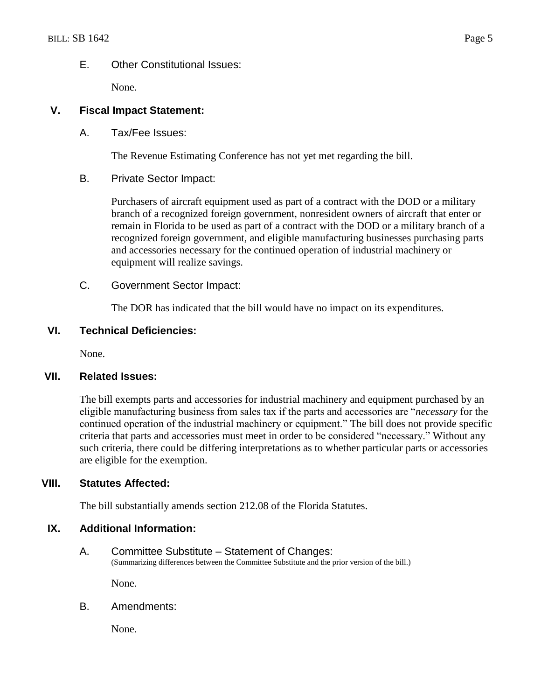## E. Other Constitutional Issues:

None.

## **V. Fiscal Impact Statement:**

A. Tax/Fee Issues:

The Revenue Estimating Conference has not yet met regarding the bill.

## B. Private Sector Impact:

Purchasers of aircraft equipment used as part of a contract with the DOD or a military branch of a recognized foreign government, nonresident owners of aircraft that enter or remain in Florida to be used as part of a contract with the DOD or a military branch of a recognized foreign government, and eligible manufacturing businesses purchasing parts and accessories necessary for the continued operation of industrial machinery or equipment will realize savings.

## C. Government Sector Impact:

The DOR has indicated that the bill would have no impact on its expenditures.

## **VI. Technical Deficiencies:**

None.

## **VII. Related Issues:**

The bill exempts parts and accessories for industrial machinery and equipment purchased by an eligible manufacturing business from sales tax if the parts and accessories are "*necessary* for the continued operation of the industrial machinery or equipment." The bill does not provide specific criteria that parts and accessories must meet in order to be considered "necessary." Without any such criteria, there could be differing interpretations as to whether particular parts or accessories are eligible for the exemption.

## **VIII. Statutes Affected:**

The bill substantially amends section 212.08 of the Florida Statutes.

## **IX. Additional Information:**

A. Committee Substitute – Statement of Changes: (Summarizing differences between the Committee Substitute and the prior version of the bill.)

None.

B. Amendments:

None.